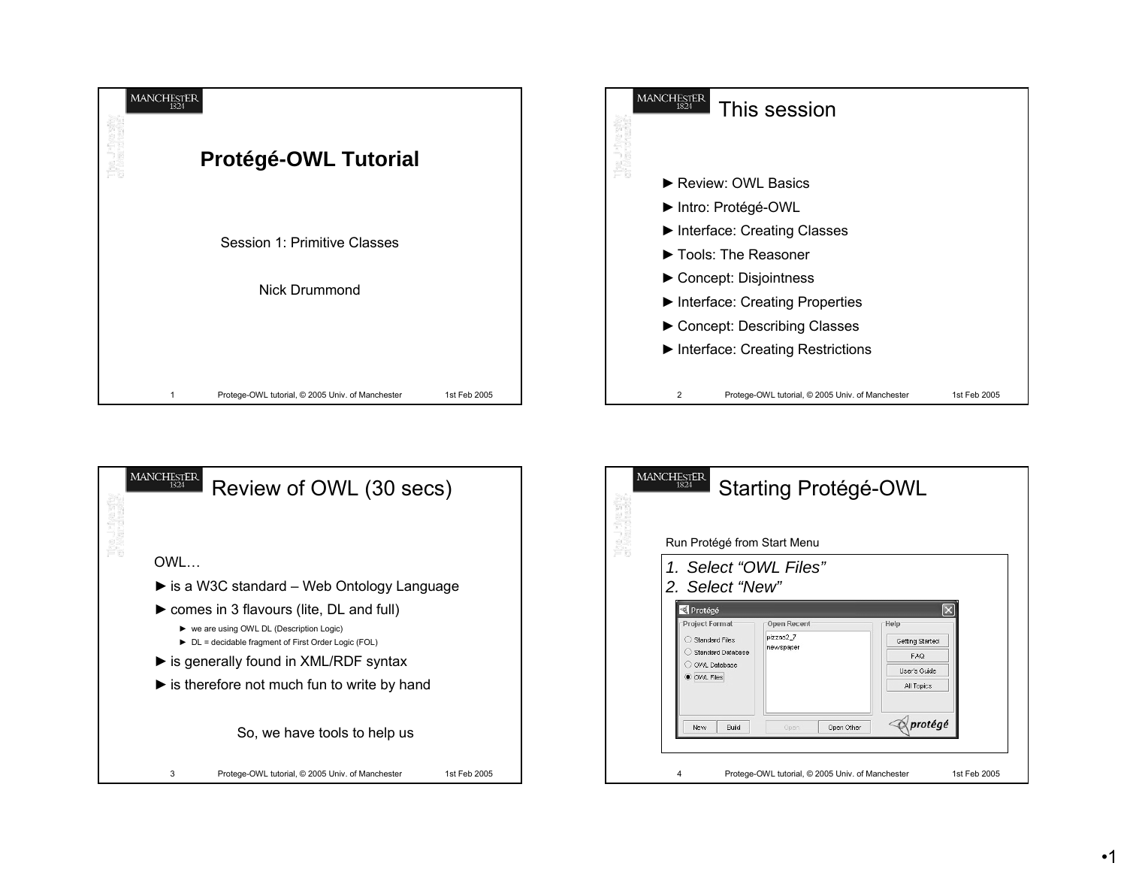



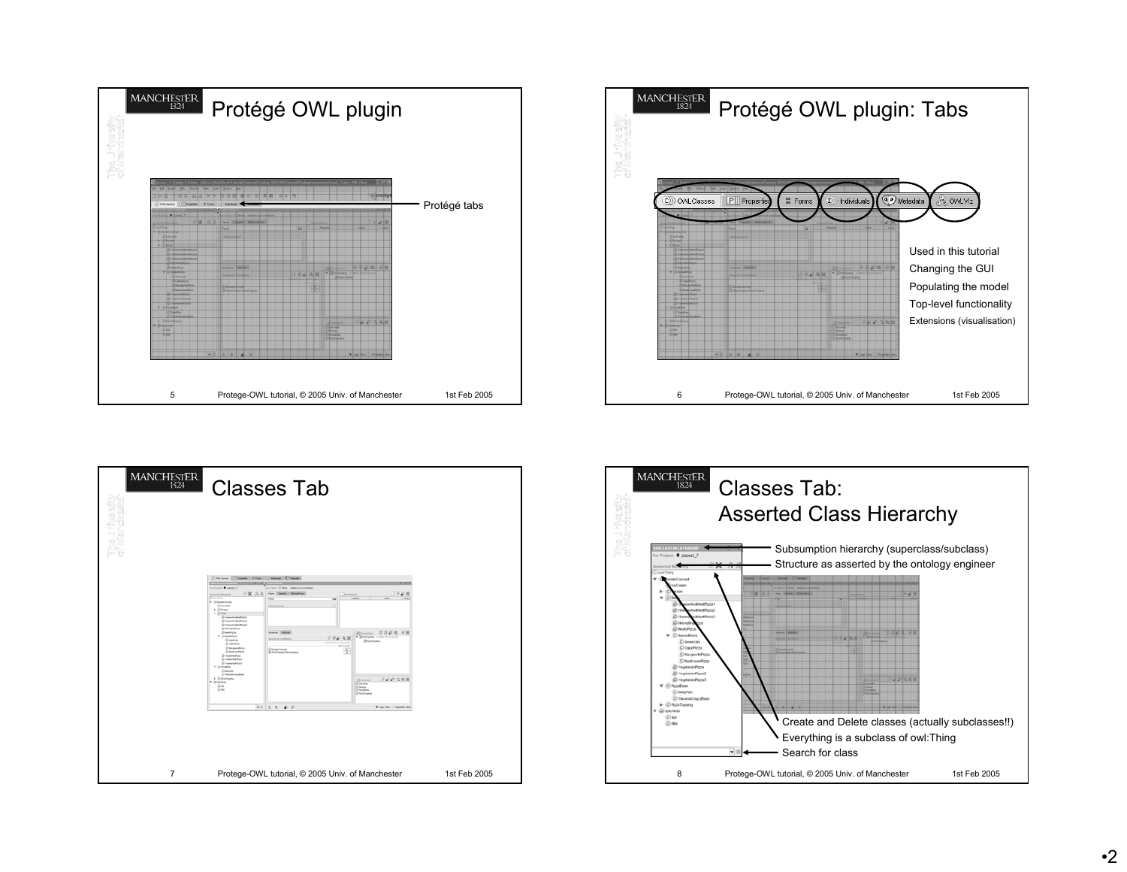





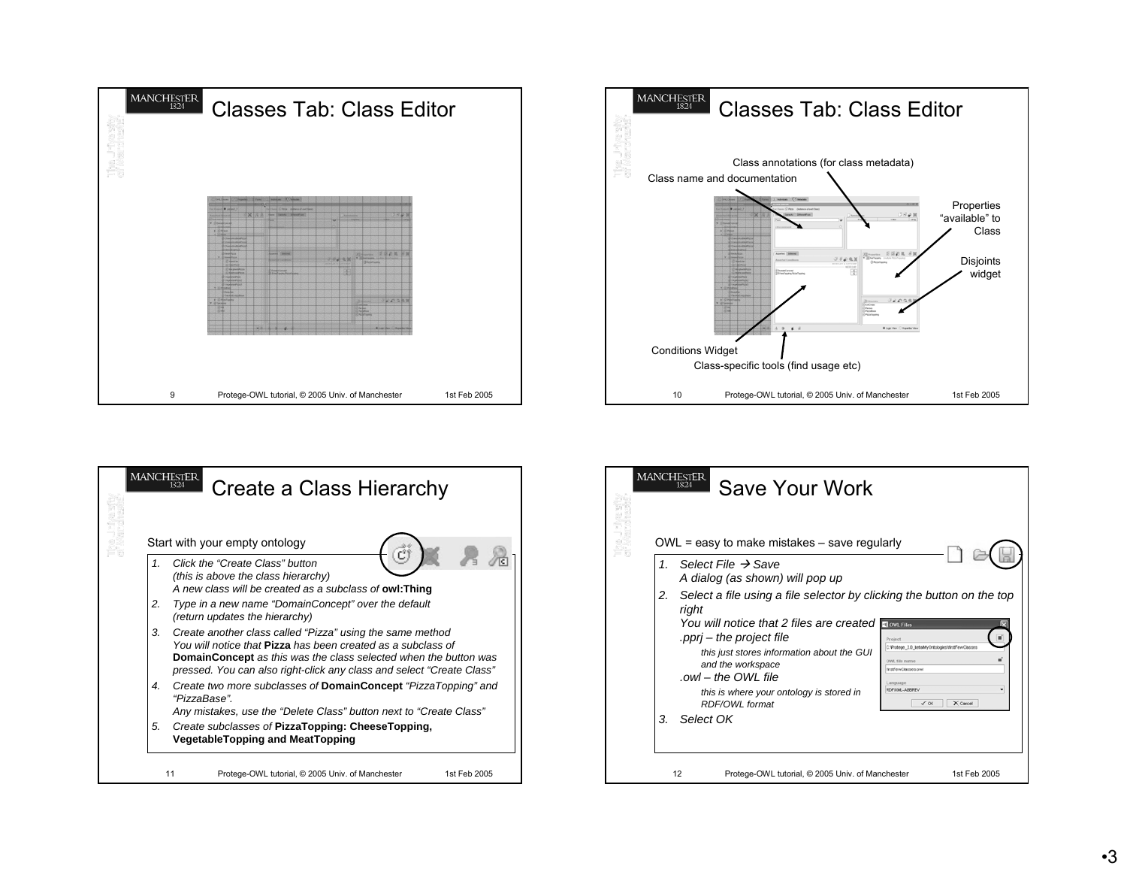





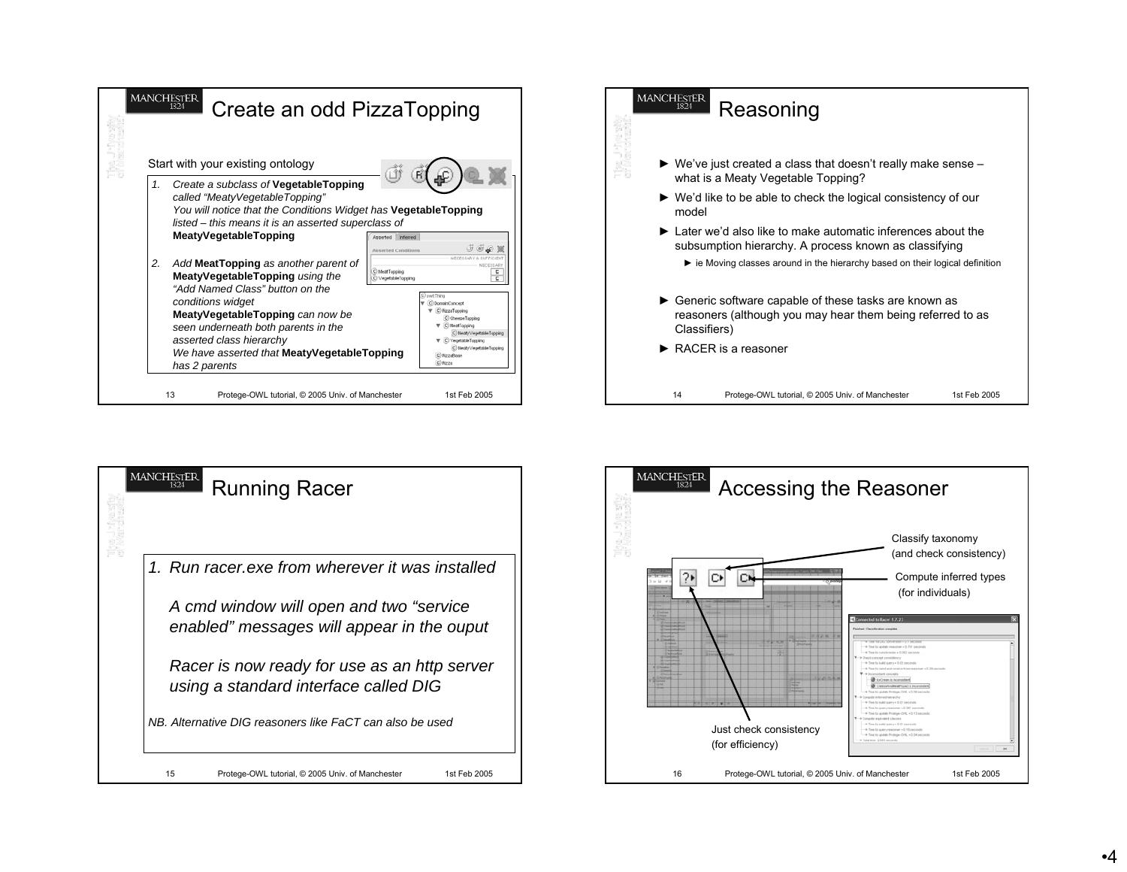



| <b>MANCHESTER</b><br>1824<br><b>Running Racer</b>                                      |  |
|----------------------------------------------------------------------------------------|--|
|                                                                                        |  |
| 1. Run racer, exe from wherever it was installed                                       |  |
| A cmd window will open and two "service"<br>enabled" messages will appear in the ouput |  |
| Racer is now ready for use as an http server<br>using a standard interface called DIG  |  |
| NB. Alternative DIG reasoners like FaCT can also be used                               |  |
| 15<br>Protege-OWL tutorial, © 2005 Univ. of Manchester<br>1st Feb 2005                 |  |

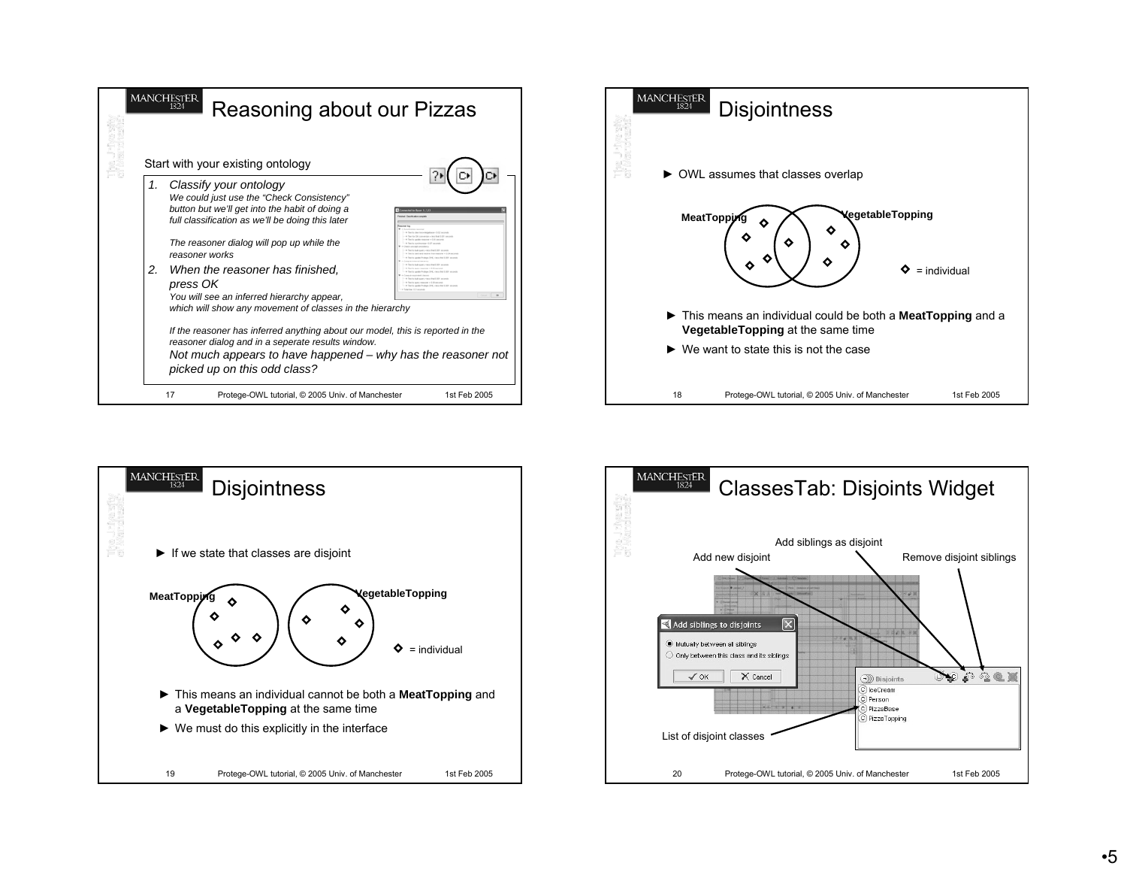



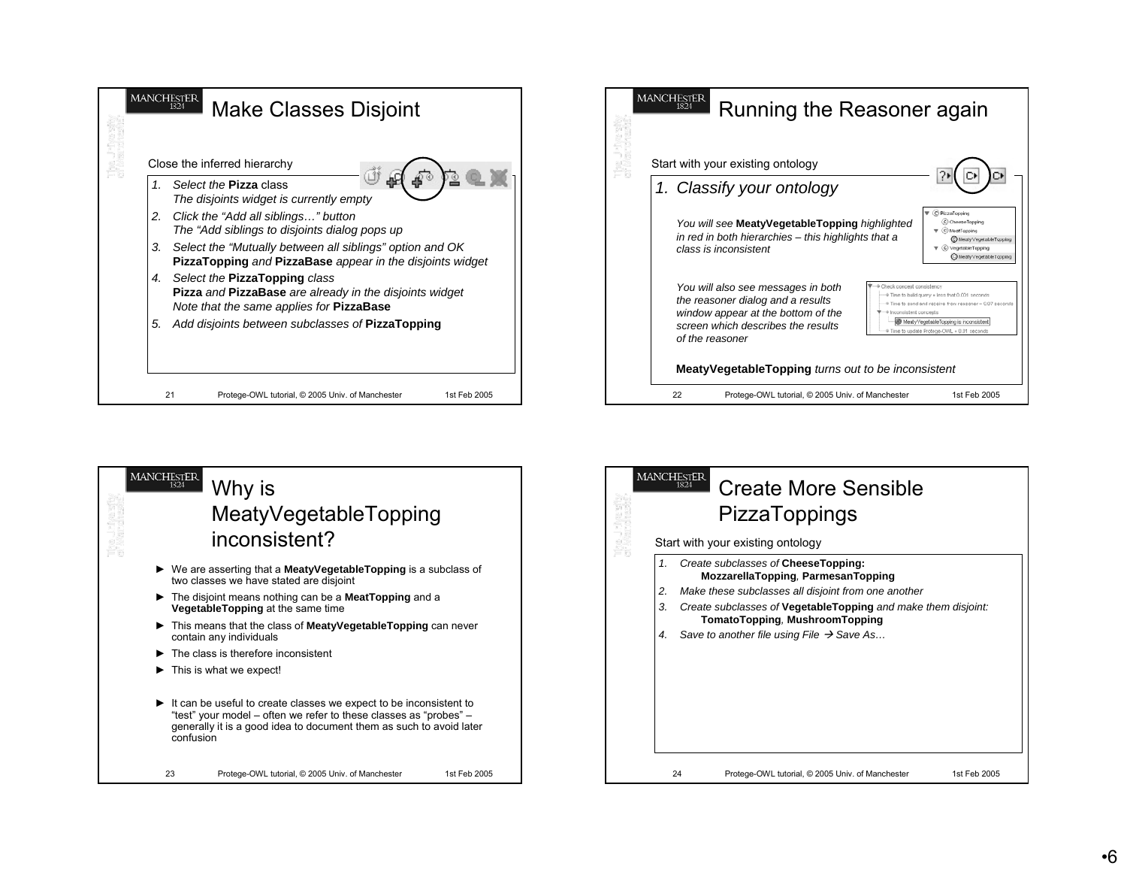



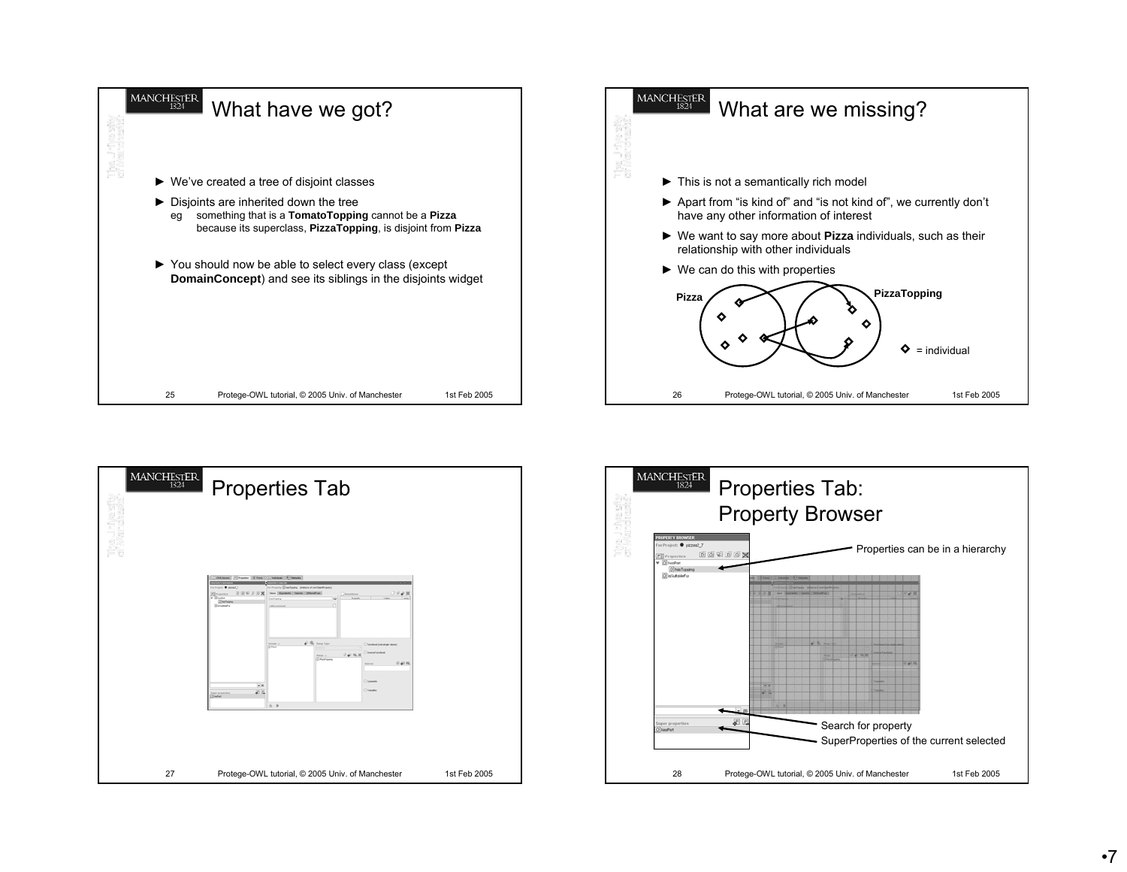



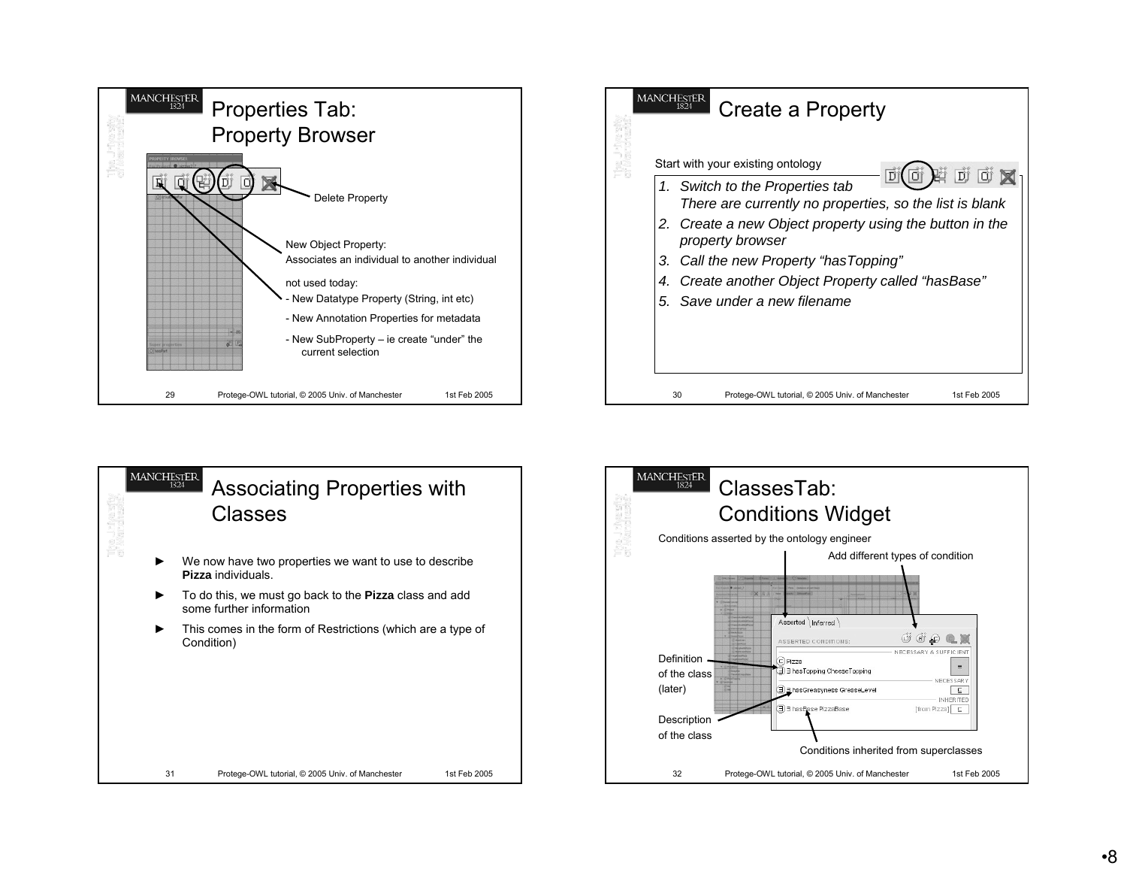





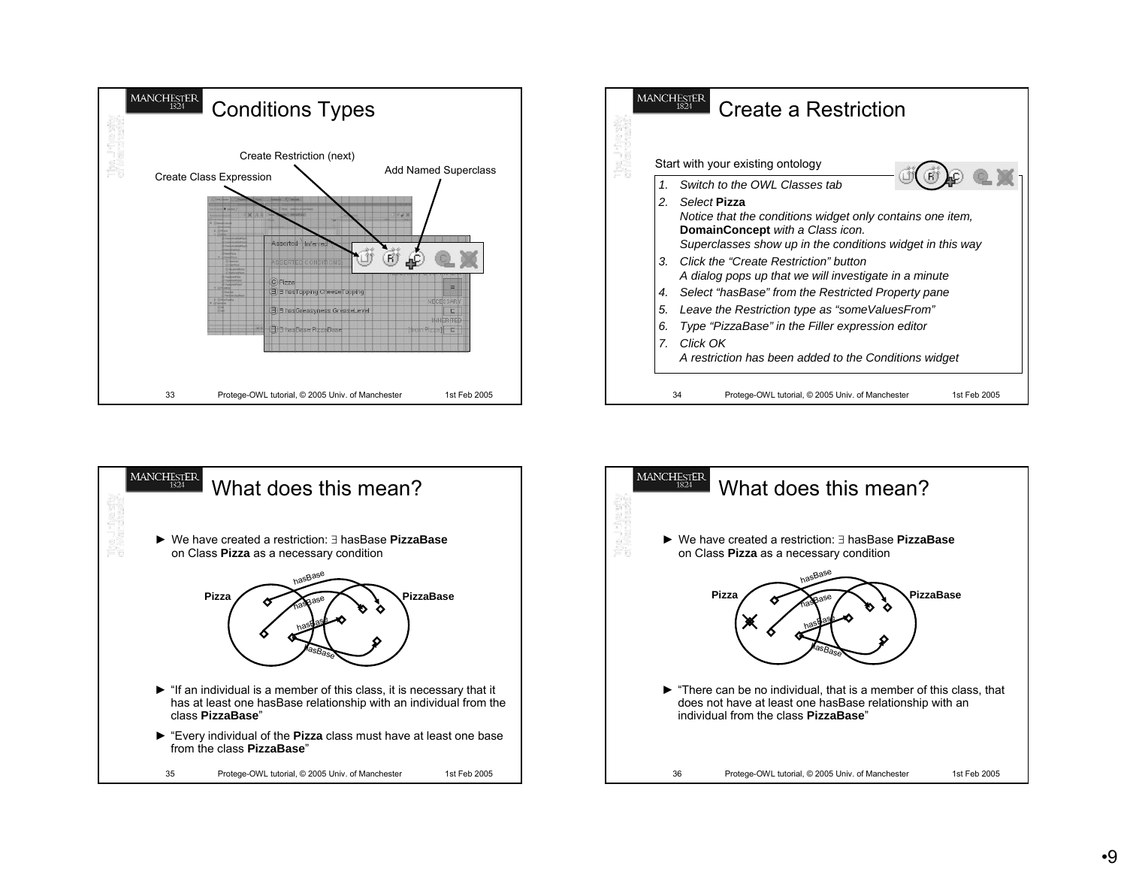





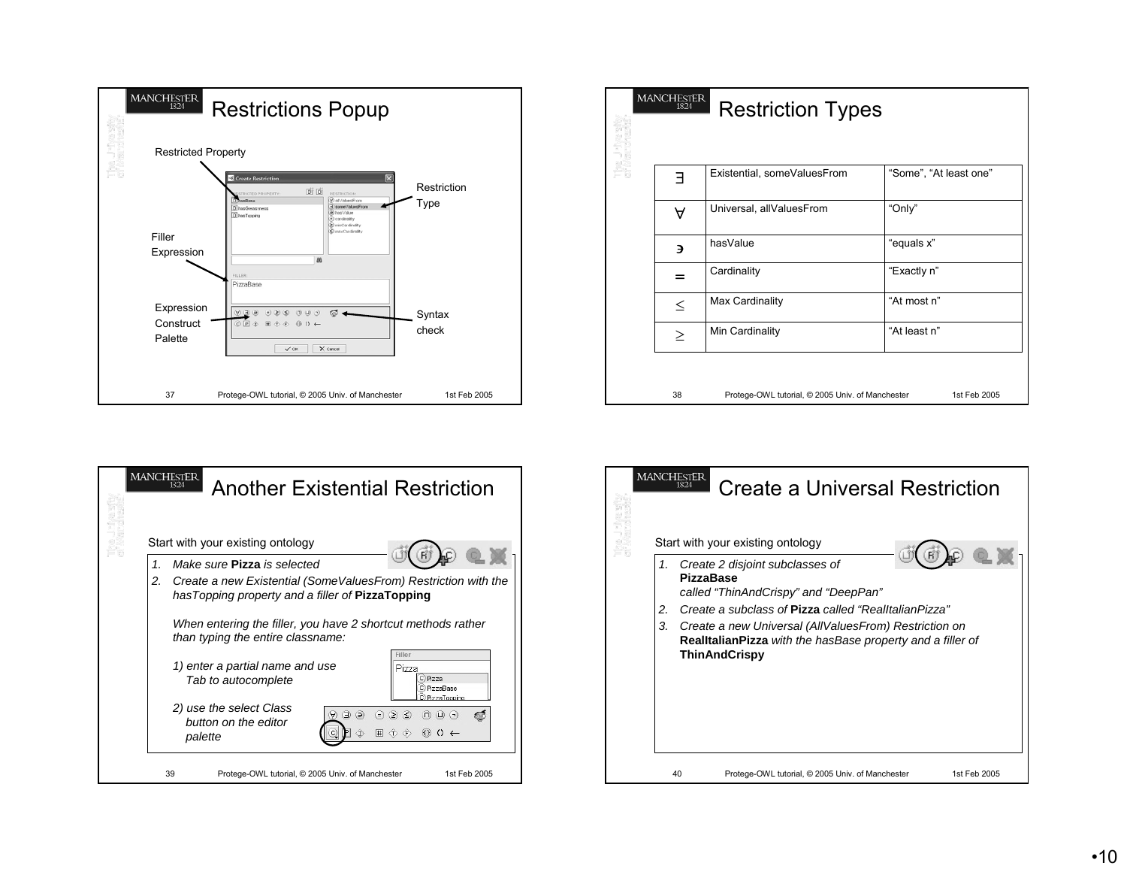

| $\textsf{MANCHESTER}\xspace_{\bf 1824}$<br><b>Restriction Types</b> |                                                  |                        |  |
|---------------------------------------------------------------------|--------------------------------------------------|------------------------|--|
| Ε                                                                   | Existential, someValuesFrom                      | "Some", "At least one" |  |
| Α                                                                   | Universal, allValuesFrom                         | "Only"                 |  |
| $\overline{\mathbf{z}}$                                             | hasValue                                         | "equals x"             |  |
|                                                                     | Cardinality                                      | "Exactly n"            |  |
| $\leq$                                                              | Max Cardinality                                  | "At most n"            |  |
| $\geq$                                                              | Min Cardinality                                  | "At least n"           |  |
|                                                                     |                                                  |                        |  |
| 38                                                                  | Protege-OWL tutorial, C 2005 Univ. of Manchester | 1st Feb 2005           |  |



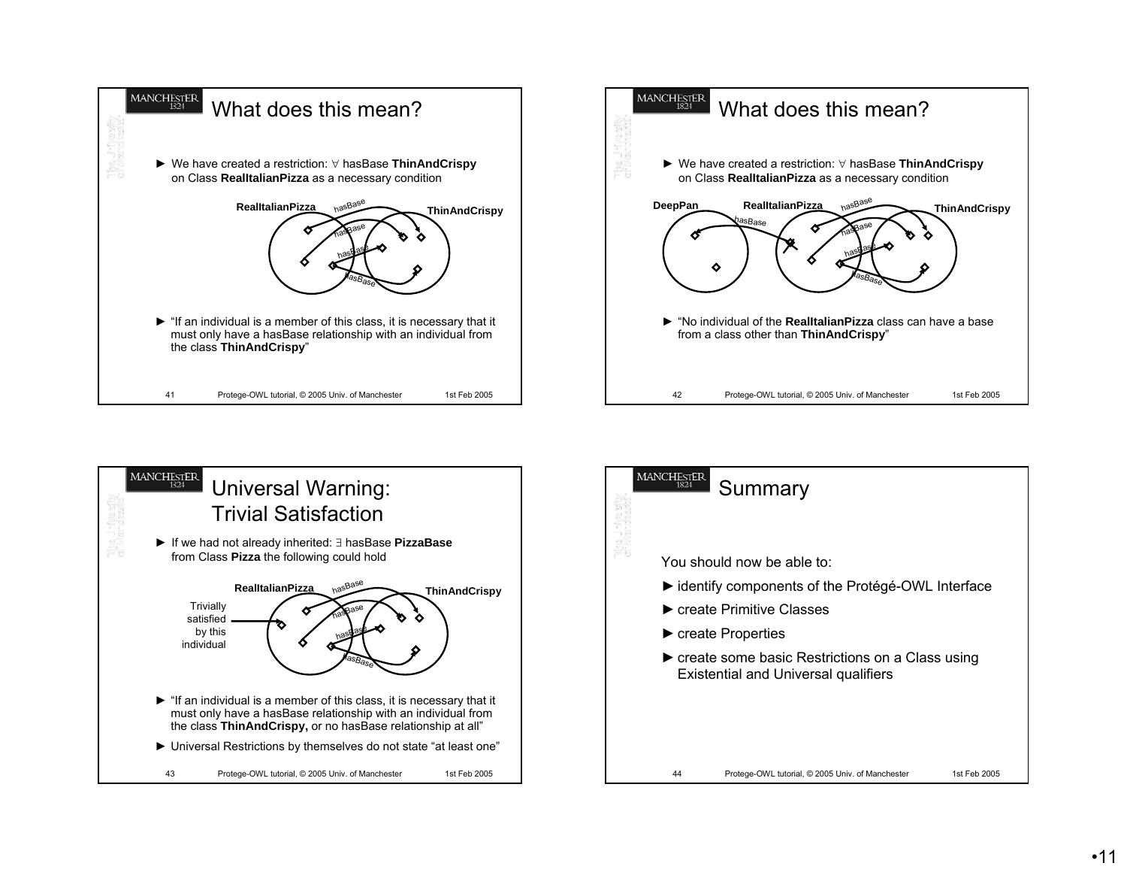